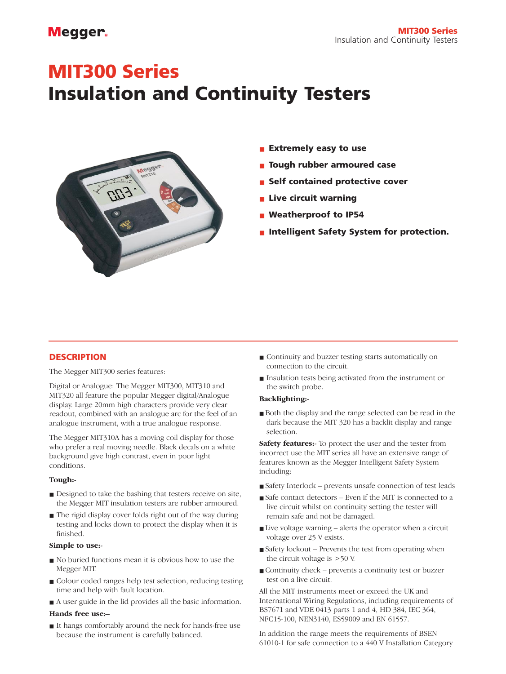### **Megger**

# **MIT300 Series**

## **Insulation and Continuity Testers**



- **Extremely easy to use**
- **Tough rubber armoured case**
- **Self contained protective cover**
- **Live circuit warning**
- Weatherproof to **IP54**
- **Intelligent Safety System for protection.**

#### **DESCRIPTION**

The Megger MIT300 series features:

Digital or Analogue: The Megger MIT300, MIT310 and MIT320 all feature the popular Megger digital/Analogue display. Large 20mm high characters provide very clear readout, combined with an analogue arc for the feel of an analogue instrument, with a true analogue response.

The Megger MIT310A has a moving coil display for those who prefer a real moving needle. Black decals on a white background give high contrast, even in poor light conditions.

#### **Tough:-**

- Designed to take the bashing that testers receive on site, the Megger MIT insulation testers are rubber armoured.
- The rigid display cover folds right out of the way during testing and locks down to protect the display when it is finished.

#### **Simple to use:-**

- No buried functions mean it is obvious how to use the Megger MIT.
- Colour coded ranges help test selection, reducing testing time and help with fault location.
- A user guide in the lid provides all the basic information. **Hands free use:–**
- It hangs comfortably around the neck for hands-free use because the instrument is carefully balanced.
- Continuity and buzzer testing starts automatically on connection to the circuit.
- Insulation tests being activated from the instrument or the switch probe.

#### **Backlighting:-**

■ Both the display and the range selected can be read in the dark because the MIT 320 has a backlit display and range selection.

**Safety features:-** To protect the user and the tester from incorrect use the MIT series all have an extensive range of features known as the Megger Intelligent Safety System including:

- Safety Interlock prevents unsafe connection of test leads
- Safe contact detectors Even if the MIT is connected to a live circuit whilst on continuity setting the tester will remain safe and not be damaged.
- Live voltage warning alerts the operator when a circuit voltage over 25 V exists.
- Safety lockout Prevents the test from operating when the circuit voltage is >50 V.
- Continuity check prevents a continuity test or buzzer test on a live circuit.

All the MIT instruments meet or exceed the UK and International Wiring Regulations, including requirements of BS7671 and VDE 0413 parts 1 and 4, HD 384, IEC 364, NFC15-100, NEN3140, ES59009 and EN 61557.

In addition the range meets the requirements of BSEN 61010-1 for safe connection to a 440 V Installation Category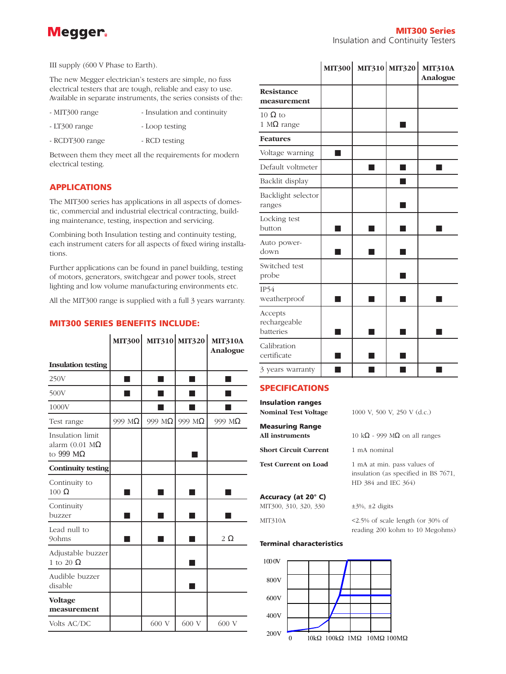

III supply (600 V Phase to Earth).

The new Megger electrician's testers are simple, no fuss electrical testers that are tough, reliable and easy to use. Available in separate instruments, the series consists of the:

- MIT300 range Insulation and continuity
- LT300 range Loop testing
- RCDT300 range RCD testing

Between them they meet all the requirements for modern electrical testing.

#### **APPLICATIONS**

The MIT300 series has applications in all aspects of domestic, commercial and industrial electrical contracting, building maintenance, testing, inspection and servicing.

Combining both Insulation testing and continuity testing, each instrument caters for all aspects of fixed wiring installations.

Further applications can be found in panel building, testing of motors, generators, switchgear and power tools, street lighting and low volume manufacturing environments etc.

All the MIT300 range is supplied with a full 3 years warranty.

#### **MIT300 SERIES BENEFITS INCLUDE:**

|                                                                        |        | MIT300 MIT310 MIT320 |        | <b>MIT310A</b><br>Analogue |
|------------------------------------------------------------------------|--------|----------------------|--------|----------------------------|
| <b>Insulation testing</b>                                              |        |                      |        |                            |
| 250V                                                                   |        |                      |        |                            |
| 500V                                                                   |        |                      |        |                            |
| 1000V                                                                  |        |                      |        |                            |
| Test range                                                             | 999 MΩ | 999 MΩ               | 999 MΩ | 999 MΩ                     |
| Insulation limit<br>alarm $(0.01 \text{ M}\Omega)$<br>to 999 $M\Omega$ |        |                      |        |                            |
| <b>Continuity testing</b>                                              |        |                      |        |                            |
| Continuity to<br>$100 \Omega$                                          |        |                      |        |                            |
| Continuity<br>buzzer                                                   |        |                      |        |                            |
| Lead null to<br>9ohms                                                  |        |                      |        | $2\Omega$                  |
| Adjustable buzzer<br>1 to 20 $\Omega$                                  |        |                      |        |                            |
| Audible buzzer<br>disable                                              |        |                      |        |                            |
| <b>Voltage</b><br>measurement                                          |        |                      |        |                            |
| Volts AC/DC                                                            |        | 600 V                | 600 V  | 600 V                      |

|                                      | <b>MIT300</b> | MIT310 MIT320 | <b>MIT310A</b><br>Analogue |
|--------------------------------------|---------------|---------------|----------------------------|
| <b>Resistance</b><br>measurement     |               |               |                            |
| 10 $\Omega$ to<br>1 M $\Omega$ range |               |               |                            |
| <b>Features</b>                      |               |               |                            |
| Voltage warning                      |               |               |                            |
| Default voltmeter                    |               | - 1           |                            |
| Backlit display                      |               |               |                            |
| Backlight selector<br>ranges         |               |               |                            |
| Locking test<br>button               |               |               |                            |
| Auto power-<br>down                  |               |               |                            |
| Switched test<br>probe               |               |               |                            |
| IP54<br>weatherproof                 |               |               |                            |
| Accepts<br>rechargeable<br>batteries |               |               |                            |
| Calibration<br>certificate           |               |               |                            |
| 3 years warranty                     |               |               |                            |

ä,

J.

#### **SPECIFICATIONS**

| <b>Insulation ranges</b>    |                                                                                            |
|-----------------------------|--------------------------------------------------------------------------------------------|
| Nominal Test Voltage        | 1000 V, 500 V, 250 V (d.c.)                                                                |
| <b>Measuring Range</b>      |                                                                                            |
| All instruments             | 10 kΩ - 999 MΩ on all ranges                                                               |
| Short Circuit Current       | 1 mA nominal                                                                               |
| <b>Test Current on Load</b> | 1 mA at min. pass values of<br>insulation (as specified in BS 7671,<br>HD 384 and IEC 364) |
| Accuracy (at 20°C)          |                                                                                            |
| MIT300, 310, 320, 330       | $\pm$ 3%, $\pm$ 2 digits                                                                   |
| MIT310A                     | $\leq$ 2.5% of scale length (or 30% of                                                     |

reading 200 kohm to 10 Megohms)

#### **Terminal characteristics**